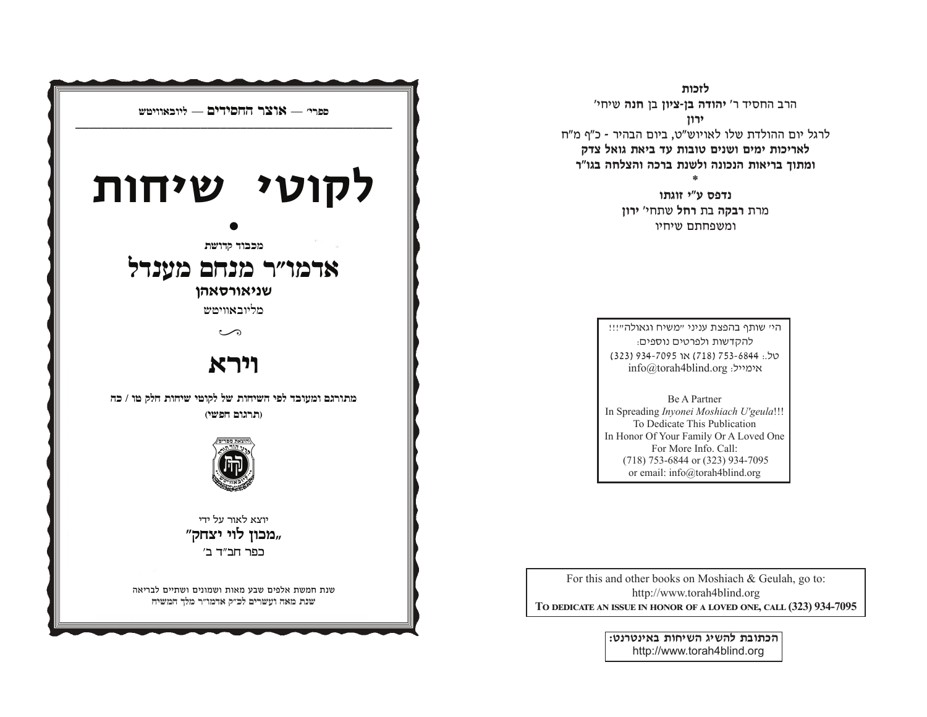

לזכות הרב החסיד ר' **יהודה בן-ציון** בן **חנה** שיחי' ירון

לרגל יום ההולדת שלו לאויוש"ט, ביום הבהיר - כ"ף מ"ח לאריכות ימים ושנים טובות עד ביאת גואל צדק ומתוך בריאות הנכונה ולשנת ברכה והצלחה בגו"ר

> נדפס ע"י זוגתו מרת רבקה בת רחל שתחי' ירון ומשפחתם שיחיו

היי שותף בהפצת עניני "משיח וגאולה"!!! להקדשות ולפרטים נוספים: 05: 753-6844, 718) או 7095-934 (323) info@torah4blind.org אימייל:

Be A Partner In Spreading Inyonei Moshiach U'geula!!! To Dedicate This Publication In Honor Of Your Family Or A Loved One For More Info. Call: (718) 753-6844 or (323) 934-7095 or email: info@torah4blind.org

For this and other books on Moshiach & Geulah, go to: http://www.torah4blind.org TO DEDICATE AN ISSUE IN HONOR OF A LOVED ONE, CALL (323) 934-7095

> הכתובת להשיג השיחות באינטרנט: http://www.torah4blind.org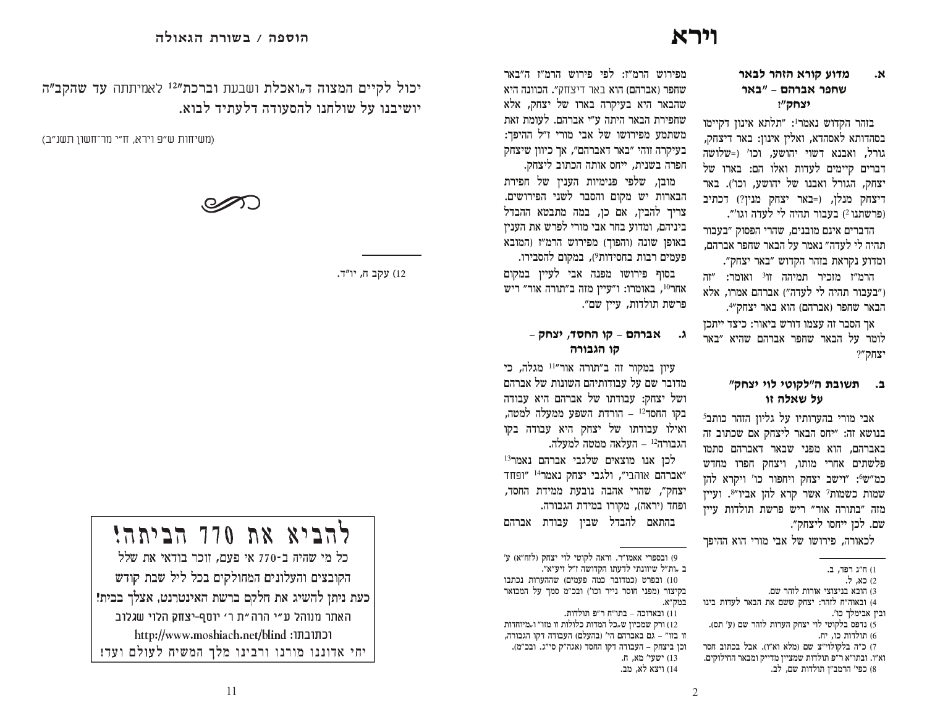## וירא

#### מדוע קורא הזהר לבאר ۰Ν שחפר אברהם - "באר יצחק"?

בזהר הקדוש נאמר<sup>1</sup>: "תלתא אינון דקיימו בסהדותא לאסהדא, ואלין אינון: באר דיצחק, גורל, ואבנא דשוי יהושע, וכו' ו-שלושה דברים קיימים לעדות ואלו הם: בארו של יצחק, הגורל ואבנו של יהושע, וכו'). באר דיצחק מנלן, (=באר יצחק מנין?) דכתיב ופרשתנו 2) בעבור תהיה לי לעדה וגו׳״.

הדברים אינם מובנים. שהרי הפסוק "בעבור תהיה לי לעדה״ נאמר על הבאר שחפר אברהם, ומדוע נקראת בזהר הקדוש "באר יצחק".

הרמ"ז מזכיר תמיהה זו<sup>3</sup> ואומר: "זה ו״בעבור תהיה לי לעדה״) אברהם אמרו, אלא הבאר שחפר (אברהם) הוא באר יצחק״4.

אר הסבר זה עצמו דורש ביאור: כיצד ייתכז לומר על הבאר שחפר אברהם שהיא ״באר "צחק"?

## ב. תשובת ה"לקוטי לוי יצחק" על שאלה זו

אבי מורי בהערותיו על גליון הזהר כותב<sup>5</sup> בנושא זה: "יחס הבאר ליצחק אם שכתוב זה באברהם, הוא מפני שבאר דאברהם סתמו פלשתים אחרי מותו, ויצחק חפרו מחדש כמ״ש6: ״וישב יצחק ויחפור כו׳ ויקרא להו שמות כשמות<sup>?</sup> אשר קרא להן אביו״<sup>8</sup>. ועיין מזה ״בתורה אור״ ריש פרשת תולדות עיין שם. לכן ייחסו ליצחק״.

לכאורה. פירושו של אבי מורי הוא ההיפר

מפירוש הרמ״ז: לפי פירוש הרמ״ז ה״באר שחפר (אברהם) הוא באר דיצחק״. הכוונה היא שהבאר היא בעיקרה בארו של יצחק, אלא שחפירת הבאר היתה ע״י אברהם. לעומת זאת משתמע מפירושו של אבי מורי ז״ל ההיפך: בעיקרה זוהי "באר דאברהם", אך כיוון שיצחק חפרה בשנית, ייחס אותה הכתוב ליצחק.

מובן, שלפי פנימיות הענין של חפירת הבארות יש מקום והסבר לשני הפירושים. צריך להבין, אם כן, במה מתבטא ההבדל ביניהם, ומדוע בחר אבי מורי לפרש את העניו באופן שונה (והפוך) מפירוש הרמ״ז (המובא פעמים רבות בחסידות<sup>9</sup>), במקום להסבירו. בסוף פירושו מפנה אבי לעיין במקום אחר<sup>10</sup>, באומרו: ו"עיין מזה ב"תורה אור" ריש פרשת תולדות, עיין שם״.

## ג. אברהם – קו החסד, יצחק – קו הגבורה

עיון במקור זה ב״תורה אור״<sup>11</sup> מגלה, כי מדובר שם על עבודותיהם השונות של אברהם ושל יצחק: עבודתו של אברהם היא עבודה בקו החסד<sup>12</sup> – הורדת השפע ממעלה למטה, ואילו עבודתו של יצחק היא עבודה בקו הגבורה<sup>12</sup> – העלאה ממטה למעלה.

לכן אנו מוצאים שלגבי אברהם נאמר<sup>13</sup> "אברהם אוהבי", ולגבי יצחק נאמר<sup>14</sup> "ופחד יצחק", שהרי אהבה נובעת ממידת החסד, ופחד (יראה), מקורו במידת הגבורה. בהתאם להבדל שביו עבודת אברהם

9) ובספרי אאמו״ר. וראה לקוטי לוי יצחק (לזח״א) ע׳ ב "ות״ל שיוונתי לדעתו הקדושה ז״ל זיע״א״.

10) ובפרט (כמדובר כמה פעמים) שההערות נכתבו בקיצור (מפני חוסר נייר וכו') ובכ"מ סמך על המבואר במק"א.

11) ובארוכה – בתו״ח ר״פ תולדות. 12) ורק שמכיון ש"כל המדות כלולות זו מזו" ו"מיוחדות זו בזו״ – גם באברהם הי׳ (בהעלם) העבודה דקו הגבורה. וכן ביצחק - העבודה דקו החסד (אגה"ק סי"ג. ובכ"מ). 13) ישעי' מא, ח. 114 ויצא לא. מר

יכול לקיים המצוה ד<sub>"</sub>ואכלת ושבעת וברכת"<sup>12</sup> לאמיתתה עד שהקב"ה יושיבנו על שולחנו להסעודה דלעתיד לבוא.

(משיחות ש"פ וירא, ח"י מר־חשון תשנ"ב)



12) עקב ח, יו״ד.



הקובצים והעלונים המחולקים בכל ליל שבת קודש כעת ניתן להשיג את חלקם ברשת האינטרנט, אצלך בבית! | האתר מנוהל ע״י הרה״ת ר׳ יוסף-יצחק הלוי שגלוב http://www.moshiach.net/blind :וכתובתו יחי אדוננו מורנו ורבינו מלך המשיח לעולם ועד!

<sup>1)</sup> ח"ג רפד, ב.

<sup>2)</sup> כא, ל.

<sup>3)</sup> הובא בניצוצי אורות לזהר שם.

<sup>4)</sup> ובאוה״ח לזהר: יצחק ששם את הבאר לעדות בינו ובין אבימלך כו׳.

<sup>5)</sup> נדפס בלקוטי לוי יצחק הערות לזהר שם (ע' תס). 6) תולדות כו, יח.

<sup>7)</sup> כ״ה בלקולוי״צ שם (מלא וא״ו). אבל בכתוב חסר וא״ו. ובתו״א ר״פ תולדות שמציין מדייק ומבאר החילוקים. 8) כפי' הרמב״ן תולדות שם, לב.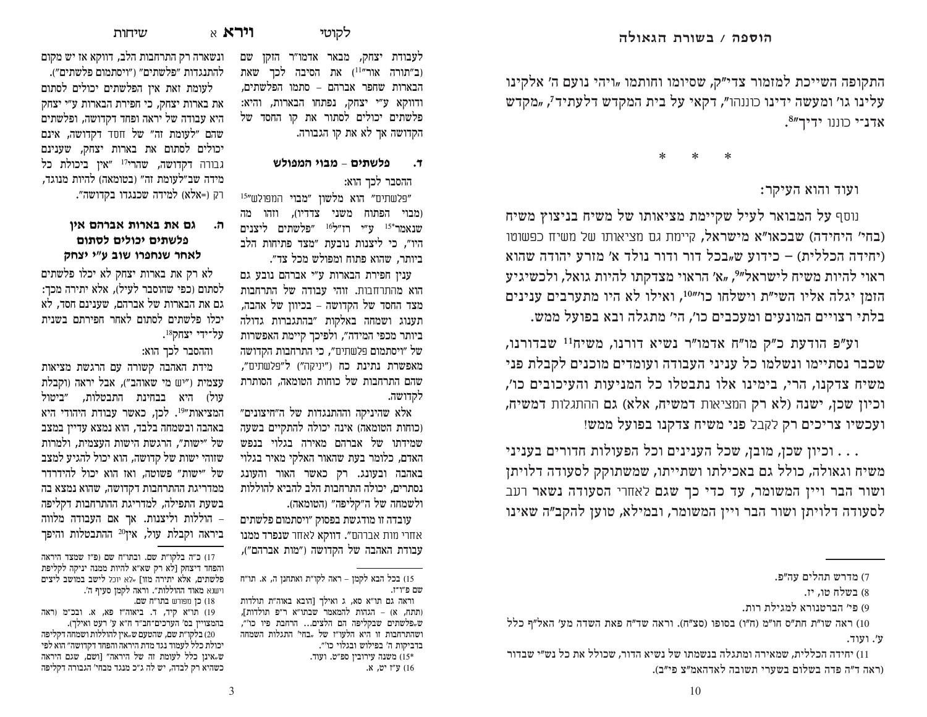התקופה השייכת למזמור צדי״ק, שסיומו וחותמו "ויהי נועם ה׳ אלקינו עלינו גו' ומעשה ידינו כוננהו", דקאי על בית המקדש דלעתיד<sup>7</sup>, "מקדש אדנ־י כוננו ידיר"<sup>8</sup>.

\*    \*    \*

ועוד והוא העיקר:

נוסף על המבואר לעיל שקיימת מציאותו של משיח בניצוץ משיח (בחי' היחידה) שבכאו"א מישראל, קיימת גם מציאותו של משיח כפשוטו  $h$ (יחידה הכללית) – כידוע ש<sub>יי</sub>בכל דור ודור נולד א׳ מזרע יהודה שהוא ראוי להיות משיח לישראל"<sup>9,</sup> "א' הראוי מצדקתו להיות גואל, ולכשיגיע הזמן יגלה אליו השי"ת וישלחו כו"<sup>10</sup>", ואילו לא היו מתערבים ענינים בלתי רצויים המונעים ומעכבים כו׳, הי׳ מתגלה ובא בפועל ממש.

וע"פ הודעת כ"ק מו"ח אדמו"ר נשיא דורנו, משיח<sup>וו</sup> שבדורנו, שכבר נסתיימו ונשלמו כל עניני העבודה ועומדים מוכנים לקבלת פני משיח צדקנו, הרי, בימינו אלו נתבטלו כל המניעות והעיכובים כו׳, וכיון שכן, ישנה (לא רק המציאות דמשיח, אלא) גם ההתגלות דמשיח, ועכשיו צריכים רק לקבל פני משיח צדקנו בפועל ממש!

וכיון שכן, מובן, שכל הענינים וכל הפעולות חדורים בעניני  $\dots$ משיח וגאולה, כולל גם באכילתו ושתייתו, שמשתוקק לסעודה דלויתן ושור הבר ויין המשומר, עד כדי כך שגם לאחרי הסעודה נשאר רעב לסעודה דלויתן ושור הבר ויין המשומר, ובמילא, טוען להקב״ה שאינו

לעבודת יצחק, מבאר אדמו״ר הזקן שם וב״תורה אור״<sup>11</sup>) את הסיבה לכר שאת הבארות שחפר אברהם – סתמו הפלשתים*,* ודווקא ע״י יצחק, נפתחו הבארות, והיא: פלשתים יכולים לסתור את קו החסד של הקדושה אך לא את קו הגבורה.

## **\OHWQG LHDQ PL]\OW F**

ההסבר לכך הוא:

פלשתים״ <mark>הוא מלשון ״מבוי</mark> המפולש״<sup>15</sup> (מבוי הפתוח משני צדדיו), וזהו מה שנאמר $^{*}$ 15 ע״י רז״ל $^{16}$  ״פלשתים ליצנים היו״, כי ליצנות נובעת ״מצד פתיחות הלב ביותר. שהוא פתוח ומפולש מכל צד״.

ענין חפירת הבארות ע"י אברהם נובע גם הוא מהתרחבות. זוהי עבודה של התרחבות מצד החסד של הקדושה – בכיוון של אהבה, תענוג ושמחה באלקות ״בהתגברות גדולה ביותר מכפי המידה", ולפיכך קיימת האפשרות של ״ויסתמום פלשתים״, כי התרחבות הקדושה מאפשרת נתינת כח ("יניקה") ל"פלשתים", שהם התרחבות של כוחות הטומאה, הסותרת לקדושה.

אלא שהיניקה וההתנגדות של ה״חיצונים״ (כוחות הטומאה) אינה יכולה להתקיים בשעה שמידתו של אברהם מאירה בגלוי בנפש האדם, כלומר בעת שהאור האלקי מאיר בגלוי באהבה ובעונג. רק כאשר האור והעונג נסתרים. יכולה התרחבות הלב להביא להוללות ולשמחה של ה״קליפה״ (הטומאה).

עובדה זו מודגשת בפסוק ״ויסתמום פלשתים אחרי מות אברהם"**. דווקא** לאחר **שנפרד ממנו** עבודת האהבה של הקדושה ("מות אברהם"),

ונשארה רק התרחבות הלב, דווקא אז יש מקום להתנגדות ״פלשתים״ (״ויסתמום פלשתים״).

לעומת זאת איז הפלשתים יכולים לסתום את בארות יצחק, כי חפירת הבארות ע״י יצחק היא עבודה של יראה ופחד דקדושה, ופלשתים שהם "לעומת זה" של חסד דקדושה, אינם יכולים לסתום את בארות יצחק, שענינם גבורה דקדושה, שהרי<sup>17</sup> "אין ביכולת כל מידה שב״לעומת זה״ (בטומאה) להיות מנוגד, רק (=אלא) למידה שכנגדו בקדושה״.

## **RLC PG[DC ]H[CD ]C PE G PH]TO PLOHNL PL]\OW ZJYL <sup>L</sup>U DH\ H[WJS\ [JCO**

לא רק את בארות יצחק לא יכלו פלשתים לסתום (כפי שהוסבר לעיל), אלא יתירה מכך: גם את הבארות של אברהם. שענינם חסד, לא יכלו פלשתים לסתום לאחר חפירתם בשנית .18על־ידי יצחק

וההסבר לכך הוא:

מידת האהבה קשורה עם הרגשת מציאות עצמית ("יש מי שאוהב"), אבל יראה (וקבלת עול) היא בבחינת התבטלות, ״ביטול המציאות״<sup>19</sup>. לכן, כאשר עבודת היהודי היא באהבה ובשמחה בלבד, הוא נמצא עדייו במצב של "ישות", הרגשת הישות העצמית, ולמרות שזוהי ישות של קדושה, הוא יכול להגיע למצב של "ישות" פשוטה, ואז הוא יכול להידרדר ממדריגת ההתרחבות דקדושה, שהוא נמצא בה בשעת התפילה, למדריגת ההתרחבות דקליפה הוללות וליצנות. אך אם העבודה מלווה – ביראה וקבלת עול, אין<sup>20</sup> ההתבטלות והיפך

<sup>7)</sup> מדרש תהלים עה״פ.

<sup>8)</sup> בשלח טו, יז.

<sup>9)</sup> פי׳ הברטנורא למגילת רות.

ראה שו״ת חת״ס חו״מ (ח״ו) בסופו (סצ״ח). וראה שד״ח פאת השדה מע׳ האל״ף כלל ( ע׳. ועוד.

<sup>11)</sup> יחידה הכללית. שמאירה ומתגלה בנשמתו של נשיא הדור. שכולל את כל נש״י שבדור (ראה ד״ה פדה בשלום בשערי תשובה לאדהאמ״צ פי״ב).

<sup>15)</sup> בכל הבא לקמן – ראה לקו"ת ואתחנן ה, א. תו"ח שם פ״ו־ז.

וראה גם תו״א סא, ג ואילך [הובא באוה״ת תולדות (תתח, א) – הגהות להמאמר שבתו״א ר״פ תולדות], ש פלשתים שבקליפה הם הלצים... הרחבת פיו כו'״, ושהתרחבות זו היא הלעו״ז של <sub>״</sub>בחי׳ התגלות השמחה בדביקות ה' בפילוש ובגלוי כו'״. ה אבוה משנה מירובין מפ"ט. משנה משנה מ 16) ע״ו יט. א.

<sup>17)</sup> כ״ה בלקו״ת שם. ובתו״ח שם (פ״ז שמצד היראה והפחד דיצחק [לֹא רק שא״א להיות ממנה יניקה לקליפת פלשתים, אלא יתירה מזו] "לא יוכל לישב במושב ליצים וישנא מאוד ההוללות״. וראה לקמן סעיף ה׳. 18) כן מפורש בתו"ח שם.

<sup>19)</sup> תו"א קיד, ד. ביאוה"ז פא, א. ובכ"מ (ראה בהמצויין בס׳ הערכים־חב״ד ח״א ע׳ רעט ואילך).

בלקו"ת שם, שהטעם ש"אין להוללות ושמחה דקליפה  $(20\,$ יכולת כלל לעמוד נגד מדת היראה והפחד דקדושה״ הוא לפי ש"אינן כלל לעומת זה של היראה״ [ושם, שגם היראה כשהיא רק לבדה, יש לה ג״כ מנגד מבחי׳ הגבורה דקליפה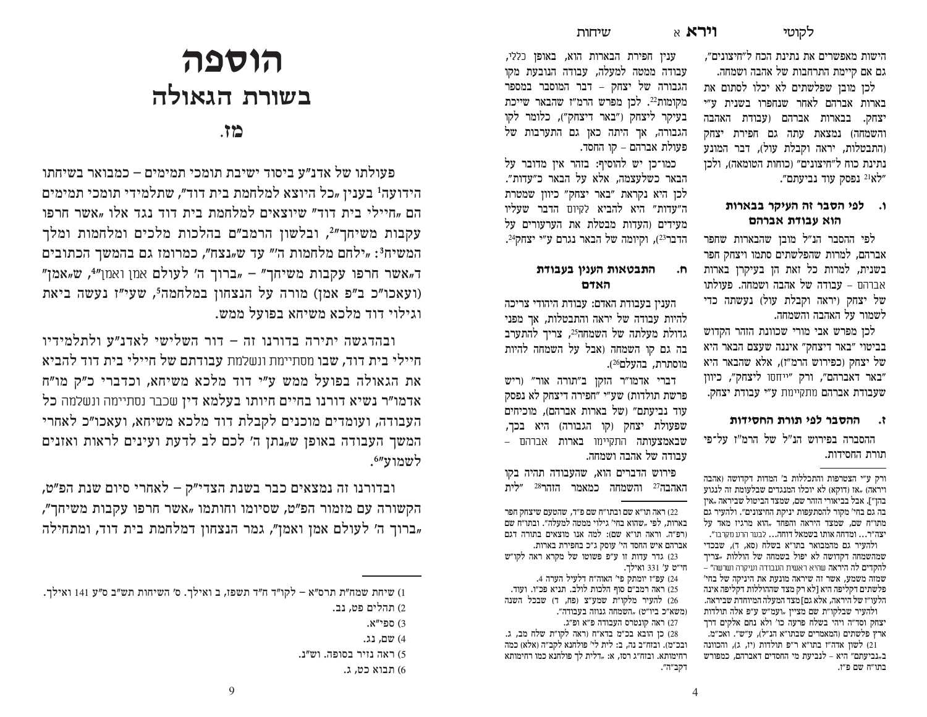הישות מאפשרים את נתינת הכח ל״חיצונים״, גם אם קיימת התרחבות של אהבה ושמחה.

לכן מובן שפלשתים לא יכלו לסתום את בארות אברהם לאחר שנחפרו בשנית ע״י יצחק. בבארות אברהם (עבודת האהבה והשמחה) נמצאת עתה גם חפירת יצחק (התבטלות, יראה וקבלת עול), דבר המונע נתינת כוח ל״חיצונים״ (כוחות הטומאה), ולכז "לא<sup>21</sup> נפסק עוד נביעתם".

## ו. לפי הסבר זה העיקר בבארות הוא עבודת אברהם

לפי ההסבר הנ״ל מובן שהבארות שחפר אברהם, למרות שהפלשתים סתמו ויצחק חפר בשנית, למרות כל זאת הז בעיקרז בארות אברהם – עבודה של אהבה ושמחה. פעולתו של יצחק (יראה וקבלת עול) נעשתה כדי לשמור על האהבה והשמחה.

לכו מפרש אבי מורי שכוונת הזהר הקדוש בביטוי "באר דיצחק" איננה שעצם הבאר היא של יצחק (כפירוש הרמ"ז), אלא שהבאר היא "באר דאברהם", ורק "ייחסו ליצחק", כיוון שעבודת אברהם מתקיימת ע״י עבודת יצחק.

#### ההסבר לפי תורת החסידות ۰. م

ההסברה בפירוש הנ"ל של הרמ"ז על־פי תורת החסידות.

ורק ע"י הצטרפות והתכללות ב' המדות דקדושה (אהבה ויראה) "אז (דוקא) לא יוכלו המנגדים שבלעומת זה לנגוע בהז״]. אבל בביאורי הזהר שם, שמצד הביטול שביראה "איז בה גם בחי' מקור להסתעפות יניקת החיצונים״. ולהעיר גם מתו״ח שם. שמצד היראה והפחד "הוא מרגיז מאד על יצה״ר… ומדחה אותו בשמאל דוחה… לבער הרע מקרבו״. ולהעיר גם מהמבואר בתו״א בשלח (סא, ד), שבכדי שמהשמחה דקדושה לא יפול בשמחה של הוללות "צריד להקדים לה היראה שהיא ראשית העבודה ועיקרה ושרשה״ – שמזה משמע, אשר זה שיראה מונעת את היניקה של בחי׳ פלשתים דקליפה היא [לא רק מצד שההוללות דקליפה אינה הלעו״ז של היראה, אלא גם] מצד המעלה המיוחדת שביראה. ולהעיר שבלקו״ת שם מציין "ועמ״ש ע״פ אלה תולדות יצחק וסד״ה ויהי בשלח פרעה כו' ולא נחם אלקים דרך ארץ פלשתים (המאמרים שבתו״א הנ״ל), ע״ש״. ואכ״מ. .<br>21) לשוו אדה"ו בתו"א ר"פ תולדות (יז, ג), והכוונה ב"נביעתם״ היא – לנביעת מי החסדים דאברהם. כמפורש בתו״ח שם פ״ו.

ענין חפירת הבארות הוא, באופן כללי, עבודה ממטה למעלה, עבודה הנובעת מקו הגבורה של יצחק – דבר המוסבר במספר מקומות22. לכן מפרש הרמ״ז שהבאר שייכת בעיקר ליצחק ("באר דיצחק"), כלומר לקו הגבורה, אך היתה כאן גם התערבות של פעולת אברהם – קו החסד.

שיחות

כמו־כז יש להוסיף: בזהר איז מדובר על הבאר כשלעצמה, אלא על הבאר כ״עדות״. לכן היא נקראת "באר יצחק" כיוון שמטרת ה״עדות״ היא להביא לקיום הדבר שעליו מעידים והעדות מבטלת את הערעורים על הדבר<sup>23</sup>), וקיומה של הבאר נגרם ע"י יצחק<sup>24</sup>.

#### התבטאות הענין בעבודת  $\cdot$ n האדם

העניו בעבודת האדם: עבודת היהודי צריכה להיות עבודה של יראה והתבטלות, אך מפני גדולת מעלתה של השמחה<sup>25</sup>, צריך להתערב בה גם קו השמחה (אבל על השמחה להיות מוסתרת. בהעלם26).

דברי אדמו"ר הזקן ב"תורה אור" (ריש פרשת תולדות) שע״י ״חפירה דיצחק לא נפסק עוד נביעתם״ (של בארות אברהם), מוכיחים שפעולת יצחק וקו הגבורה) היא בכד, שבאמצעותה התקיימו בארות אברהם – עבודה של אהבה ושמחה.

פירוש הדברים הוא, שהעבודה תהיה בקו האהבה<sup>27</sup> והשמחה כמאמר הזהר<sup>28</sup> ״לית

22) ראה תו״א שם ובתו״ח שם פ״ד, שהטעם שיצחק חפר בארות. לפי "שהוא בחי' גילוי ממטה למעלה״. ובתו״ח שם (רפ״ה. וראה תו״א שם): למה אנו מוצאים בתורה דגם אברהם איש החסד הי' עוסק ג"כ בחפירת בארות. 23) גדר עדות זו ע״פ פשוטו של מקרא ראה לקו״ש חי"ט ע' 331 ואילד. 24) עפ״ז יומתק פי' האוה״ח דלעיל הערה 4.

25) ראה רמב״ם סוף הלכות לולב. תניא פכ״ו. ועוד. 26) להעיר מלקו״ת שמע״צ (פח, ד) שבכל השנה (משא"כ ביו"ט) "השמחה גנוזה בעבודה". 27) ראה קונטרס העבודה פ"א ופ"ג.

28) כן הובא בכ״מ בדא״ח (ראה לקו״ת שלח מב, ג. ובכ״מ). ובזח״ב נה. ב: לית לי' פולחנא לקב״ה (אלא) כמה רחימותא. ובזח״ג רסז, א: "דלית לך פולחנא כמו רחימותא דקב״ה״.

# הוספה בשורת הגאולה

## $\cdot$

פעולתו של אדנ״ע ביסוד ישיבת תומכי תמימים – כמבואר בשיחתו הידועה<sup>1</sup> בענין <sub>"</sub>כל היוצא למלחמת בית דוד", שתלמידי תומכי תמימים הם "חיילי בית דוד" שיוצאים למלחמת בית דוד נגד אלו "אשר חרפו עקבות משיחך"?, ובלשון הרמב"ם בהלכות מלכים ומלחמות ומלך המשיח<sup>3</sup>: "ילחם מלחמות ה'" עד ש<sub>"</sub>נצח", כמרומז גם בהמשך הכתובים ד"אשר חרפו עקבות משיחך" - "ברוך ה' לעולם אמן ואמן"4, ש"אמז (ועאכו"כ ב"פ אמן) מורה על הנצחון במלחמה', שעי"ז נעשה ביאת וגילוי דוד מלכא משיחא בפועל ממש.

ובהדגשה יתירה בדורנו זה – דור השלישי לאדנ"ע ולתלמידיו חיילי בית דוד, שבו מסתיימת ונשלמת עבודתם של חיילי בית דוד להביא את הגאולה בפועל ממש ע״י דוד מלכא משיחא, וכדברי כ״ק מו״ח אדמו"ר נשיא דורנו בחיים חיותו בעלמא דין שכבר נסתיימה ונשלמה כל העבודה, ועומדים מוכנים לקבלת דוד מלכא משיחא, ועאכו״כ לאחרי המשך העבודה באופן ש"נתן ה' לכם לב לדעת ועינים לראות ואזנים לשמוע"'.

ובדורנו זה נמצאים כבר בשנת הצדי״ק – לאחרי סיום שנת הפ״ט, הקשורה עם מזמור הפ"ט, שסיומו וחותמו "אשר חרפו עקבות משיחך", "ברוך ה׳ לעולם אמן ואמן״, גמר הנצחון דמלחמת בית דוד, ומתחילה

<sup>1)</sup> שיחת שמח"ת תרס"א – לקו"ד ח"ד תשפז, ב ואילך. ס' השיחות תש"ב ס"ע 141 ואילך. 2) תהלים פט, נב.

ג) הפי"א.

<sup>4)</sup> שם, נג.

<sup>5)</sup> ראה נזיר בסופה. וש״נ.

<sup>6)</sup> תבוא כט, ג.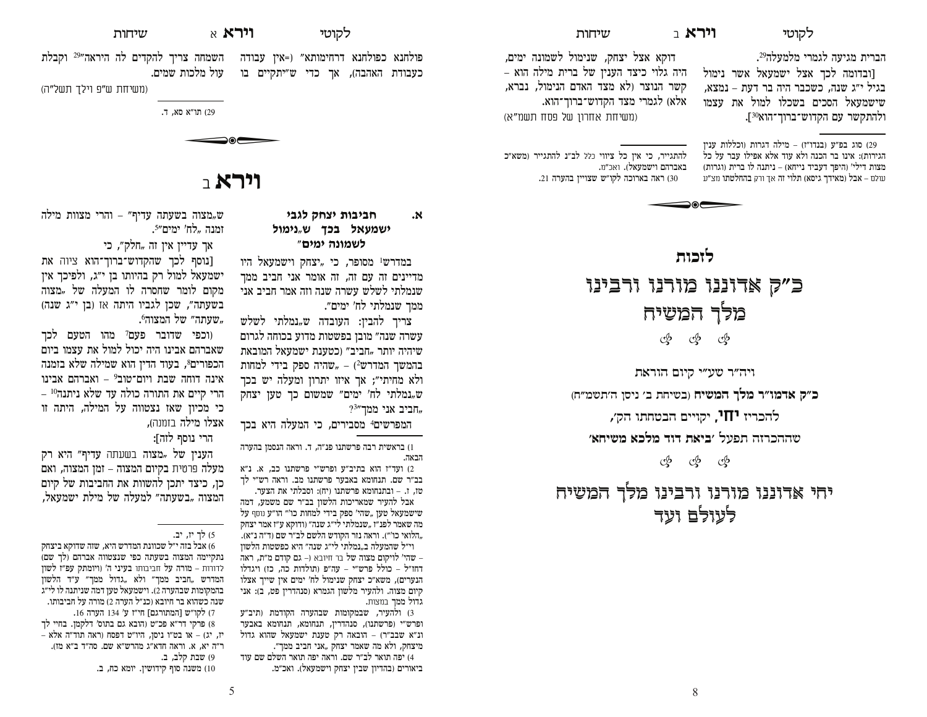לקוטי**Wלקוטי** 

הברית מגיעה לגמרי מלמעלה<sup>29</sup>.

[ובדומה לכך אצל ישמעאל אשר נימול בגיל י״ג שנה, כשכבר היה בר דעת – נמצא, שישמעאל הסכים בשכלו למול את עצמו ולהתקשר עם הקדוש־ברוך־הוא<sup>30</sup>].

פו) סוג בפ״ע (בנדו״ז) - מילה דגרות (וכללות ענין הגירות): אינו בר הכנה ולא עוד אלא אפילו עבר על כל מצות דילי' (היפך דעביד נייחא) – ניתנה לו ברית (וגרות) עולם – **אבל (מאידך גיסא) תלוי זה** אך ורק **בהחלטתו** מצ״ע

דוקא אצל יצחק, שנימול לשמונה ימים, היה גלוי כיצד הענין של ברית מילה הוא – קשר הנוצר (לא מצד האדם הנימול, נברא, אלא) לגמרי מצד הקדוש־ברוך־הוא. (משיחת אחרוו של פסח תשמ"א)

שיחות

להתגייר, כי אין כל ציווי כלל לב״נ להתגייר (משא״כ באברהם וישמעאל). ואכ״מ. וערה בארוכה לקו"ש שצויין בהערה 21.

> **]HNIO**כ״ק אדוננו מורנו ורבינו מלך המשיח sss

ויה״ר שע״י קיום הוראת

כ״ק אדמו״ר מלך המשיח (בשיחת ב׳ ניסן ה׳תשמ״ח)

להכריז **יחו,** יקויים הבטחתו הק׳,

 **CJL\Q CNOQ FHF ]CLD**  OUW] GI[NGG\

යු ගු ගු

יחי אדוננו מורנו ורבינו מלך המשיח לעולם ועד

**לקוטי וירא** א

**LDEO ZJYL ]HDLDJ C**

ממך שנמלתי לח' ימים״.

 $^{93''}$ חביב אני ממך,

הבאה.

גדול ממך במצות.

**ישמעאל בכך ש**"נימול **לשמונה ימים**" במדרש<sup>ו</sup> מסופר, כי "יצחק וישמעאל היו מדיינים זה עם זה, זה אומר אני חביב ממך שנמלתי לשלש עשרה שנה וזה אמר חביב אני

צריך להבין: העובדה ש"נמלתי לשלש עשרה שנה״ מובן בפשטות מדוע בכוחה לגרום שיהיה יותר "חביב״ (כטענת ישמעאל המובאת בהמשך המדרש<sup>2</sup>) – "שהיה ספק בידי למחות ולא מחיתי״: אר איזו יתרוז ומעלה יש בכד ש, נמלתי לח' ימים" שמשום כך טען יצחק

המפרשים<sup>4</sup> מסבירים, כי המעלה היא בכך בראשית רבה פרשתנו פנ"ה, ד. וראה הנסמן בהערה (1

ועד"ז הוא בתיב"ע ופרש"י פרשתנו כב, א. נ"א C בב״ר שם. תנחומא באבער פרשתנו מב. וראה רש״י לר סז, ז. – ובתנחומא פרשתנו (יח): וסבלתי את הצער. אבל להעיר שמאריכות הלשון בב"ר שם משמע, דמה שישמעאל סען "שהי' ספק בידי למחות כו'" הו"ע נוסף על מה שאמר לפנ"ז "שנמלתי לי"ג שנה" (ודוקא ע"ז אמר יצחק הלואי כו'"). וראה נזר הקודש הלשם לב"ר שם (ד"ה נ"א)., וי״ל שהמעלה ב"נמלתי לי״ג שנה״ היא כפשטות הלשון שהי׳ לויקום מצוה של בר חיובא (– גם קודם מ״ת, ראה  $-$ החז"ל – כולל פרש"י – עה"פ (תולדות כה, כז) ויגדלו הנערים), משא״כ יצחק שנימול לח' ימים אין שייך אצלו קיום מצוה. ולהעיר מלשון הגמרא (סנהדרין פט, ב): אני

3) ולהעיר, שבמקומות שבהערה הקודמת (תיב"ע ופרש"י (פרשתנו), סנהדרין, תנחומא, תנחומא באבער ונ״א שבב״ר) – הובאה רק טענת ישמעאל שהוא גדול מיצחק, ולא מה שאמר יצחק *"*אני חביב ממך״. 4) יפה תואר לב״ר שם. וראה יפה תואר השלם שם עוד ביאורים (בהדיוז שביז יצחק וישמעאל). ואכ״מ.

שיחות $\,$ 

פולחנא כפולחנא דרחימותא״ (=אין עבודה - השמחה צריך להקדים לה היראה״29 וקבלת בעבודת האהבה), אד כדי ש״יתקיים בו צול מלכות שמים.

(משיחת ש״פ וילד תשל״ה)

129 תו"א סא. ד.

תו"א (29  $\bigcirc$ 

# ו**ירא** ר

ש, מצוה בשעתה עדיף" – והרי מצוות מילה ומנה "לח' ימים״<sup>5</sup>.

אך עדיין אין זה *"*חלק״, כי

[נוסף לכך שהקדוש־ברוך־הוא ציוה את ישמעאל למול רק בהיותו בן י״ג, ולפיכך אין מקום לומר שחסרה לו המעלה של *"*מצוה בשעתה", שכן לגביו היתה אז (בן י"ג שנה) שעתה" של המצוה<sup>6</sup>,

ורפי שדובר פעם<sup>7</sup> מהו הטעם לכד שאברהם אבינו היה יכול למול את עצמו ביום הכפורים8, בעוד הדין הוא שמילה שלא בזמנה אינה דוחה שבת ויום־טוב<sup>9</sup> – ואברהם אבינו הרי קיים את התורה כולה עד שלא ניתנה<sup>10</sup> – כי מכיון שאז נצטווה על המילה, היתה זו אצלו מילה בזמנה),

הרי נוסף לזה]:

הענין של "מצוה בשעתה עדיף״ היא רק מעלה פרטית בקיום המצוה – זמן המצוה, ואם כן, כיצד יתכן להשוות את החביבות של קיום המצוה "בשעתה" למעלה של מילת ישמעאל<mark>,</mark>

<sup>5)</sup> לך יו, יב.

 $Z$ ביצחק ביצחק המדרש הייל המדרש כל כזה כל כזה כל כ  $\tilde{\Gamma}$ נתקיימה המצוה בשעתה כפי שנצטווה אברהם (לך שם לדורות – מורה על חביבותו בעיני ה' (ויומתק עפ״ז לשון המדרש "חביב ממך" ולא "גדול ממך" ע"ד הלשון  $E$ בהמקומות שבהערה 2). וישמעאל טען דמה שניתנה לו לי״ג שנה כשהוא בר חיובא (כנ"ל הערה 2) מורה על חביבותו. 7) לקו״ש [המתורגם] חי״ז ע׳ 134 הערה 16. 8) פרקי דר״א פכ״ט (הובא גם בתוס׳ דלקמן. בחיי לך יז, יג) – או בט״ו ניסן, היו״ט דפסח (ראה תוד״ה אלא ו"ה יא. א. וראה חדא"ג מהרש"א שם. סה"ד ב"א מז). 9) שבת קלב**,** ב.